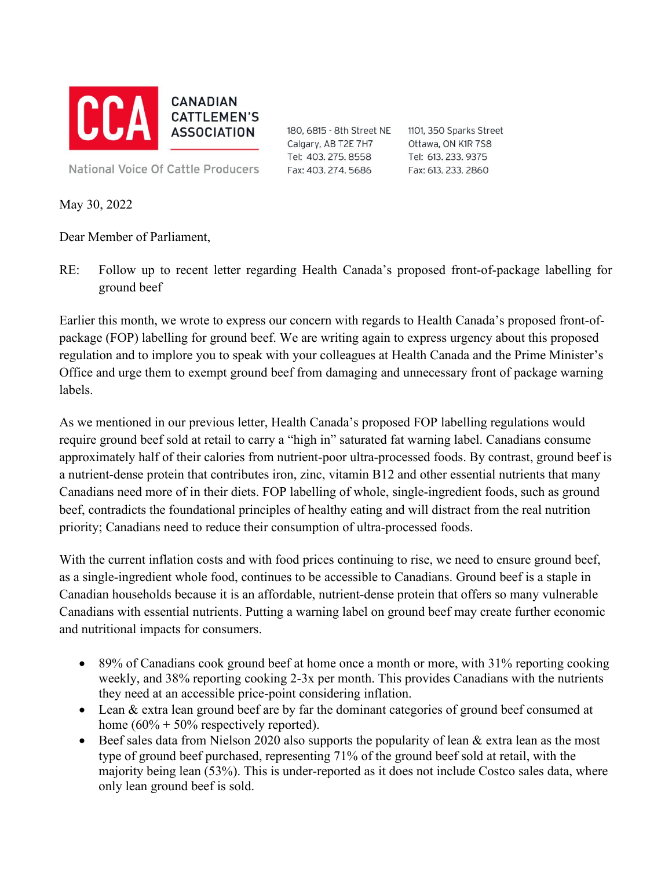

180, 6815 - 8th Street NE Calgary, AB T2E 7H7 Tel: 403. 275. 8558 Fax: 403. 274. 5686

1101, 350 Sparks Street Ottawa, ON K1R 7S8 Tel: 613.233.9375 Fax: 613. 233. 2860

**National Voice Of Cattle Producers** 

May 30, 2022

Dear Member of Parliament,

RE: Follow up to recent letter regarding Health Canada's proposed front-of-package labelling for ground beef

Earlier this month, we wrote to express our concern with regards to Health Canada's proposed front-ofpackage (FOP) labelling for ground beef. We are writing again to express urgency about this proposed regulation and to implore you to speak with your colleagues at Health Canada and the Prime Minister's Office and urge them to exempt ground beef from damaging and unnecessary front of package warning labels.

As we mentioned in our previous letter, Health Canada's proposed FOP labelling regulations would require ground beef sold at retail to carry a "high in" saturated fat warning label. Canadians consume approximately half of their calories from nutrient-poor ultra-processed foods. By contrast, ground beef is a nutrient-dense protein that contributes iron, zinc, vitamin B12 and other essential nutrients that many Canadians need more of in their diets. FOP labelling of whole, single-ingredient foods, such as ground beef, contradicts the foundational principles of healthy eating and will distract from the real nutrition priority; Canadians need to reduce their consumption of ultra-processed foods.

With the current inflation costs and with food prices continuing to rise, we need to ensure ground beef, as a single-ingredient whole food, continues to be accessible to Canadians. Ground beef is a staple in Canadian households because it is an affordable, nutrient-dense protein that offers so many vulnerable Canadians with essential nutrients. Putting a warning label on ground beef may create further economic and nutritional impacts for consumers.

- 89% of Canadians cook ground beef at home once a month or more, with 31% reporting cooking weekly, and 38% reporting cooking 2-3x per month. This provides Canadians with the nutrients they need at an accessible price-point considering inflation.
- Lean & extra lean ground beef are by far the dominant categories of ground beef consumed at home  $(60\% + 50\%$  respectively reported).
- Beef sales data from Nielson 2020 also supports the popularity of lean  $\&$  extra lean as the most type of ground beef purchased, representing 71% of the ground beef sold at retail, with the majority being lean (53%). This is under-reported as it does not include Costco sales data, where only lean ground beef is sold.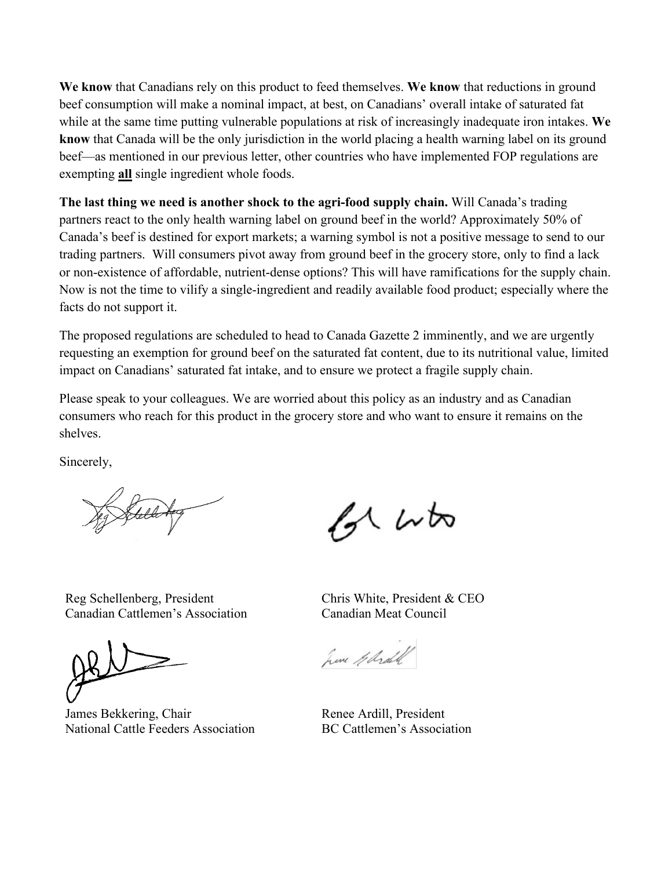**We know** that Canadians rely on this product to feed themselves. **We know** that reductions in ground beef consumption will make a nominal impact, at best, on Canadians' overall intake of saturated fat while at the same time putting vulnerable populations at risk of increasingly inadequate iron intakes. **We know** that Canada will be the only jurisdiction in the world placing a health warning label on its ground beef—as mentioned in our previous letter, other countries who have implemented FOP regulations are exempting **all** single ingredient whole foods.

**The last thing we need is another shock to the agri-food supply chain.** Will Canada's trading partners react to the only health warning label on ground beef in the world? Approximately 50% of Canada's beef is destined for export markets; a warning symbol is not a positive message to send to our trading partners. Will consumers pivot away from ground beef in the grocery store, only to find a lack or non-existence of affordable, nutrient-dense options? This will have ramifications for the supply chain. Now is not the time to vilify a single-ingredient and readily available food product; especially where the facts do not support it.

The proposed regulations are scheduled to head to Canada Gazette 2 imminently, and we are urgently requesting an exemption for ground beef on the saturated fat content, due to its nutritional value, limited impact on Canadians' saturated fat intake, and to ensure we protect a fragile supply chain.

Please speak to your colleagues. We are worried about this policy as an industry and as Canadian consumers who reach for this product in the grocery store and who want to ensure it remains on the shelves.

Sincerely,

of who

Reg Schellenberg, President Canadian Cattlemen's Association

James Bekkering, Chair National Cattle Feeders Association

Chris White, President & CEO Canadian Meat Council

here Glidall

Renee Ardill, President BC Cattlemen's Association